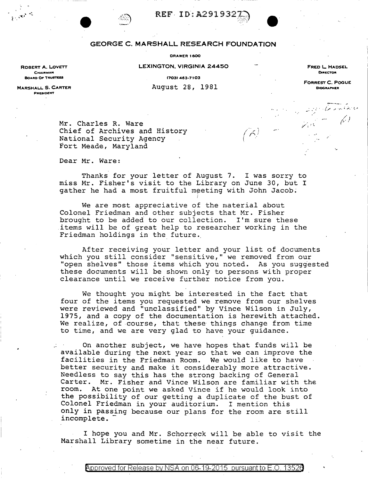



## GEORGE C. MARSHALL RESEARCH FOUNDATION

## **ORAWER 1600**

LEXINGTON, VIRGINIA 24450

FRED L. HADSEL DIRECTOR

CHAIRMAN **BOARD OF TRUSTEES** 

ROBERT A. LOVETT

(703) 463-7103 August 28, 1981 **FORREST C. POGUE BIOGRAPHER** 

 $\widetilde{\mathcal{N}}$ 

MARSHALL S. CARTER PAESIDENT

> Mr. Charles R. Ware Chief of Archives and History National Security Agency Fort Meade, Maryland

Dear Mr. Ware:

Thanks for your letter of August 7. I was sorry to miss Mr. Fisher's visit to the Library on June 30, but I gather he had a most fruitful meeting with John Jacob.

We are most appreciative of the material about Colonel Friedman and other subjects that Mr. Fisher brought to be added to our collection. I'm sure these items will be of great help to researcher working in the Friedman holdings in the future.

After receiving your letter and your list of documents which you still consider "sensitive," we removed from our "open shelves" those items which you noted. As you suggested these documents will be shown only to persons with proper clearance until we receive further notice from you.

We thought you might be interested in the fact that four of the items you requested we remove from our shelves were reviewed and "unclassified" by Vince Wilson in July, 1975, and a copy of the documentation is herewith attached. We realize, of course, that these things change from time to time, and we are very glad to have your guidance.

On another subject, we have hopes that funds will be available during the next year so that we can improve the facilities in the Friedman Room. We would like to have better security and make it considerably more attractive. Needless to say this has the strong backing of General Carter. Mr. Fisher and Vince Wilson are familiar with the room. At one point we asked Vince if he would look into the possibility of our getting a duplicate of the bust of Colonel Friedman in your auditorium. I mention this only in passing because our plans for the room are still incomplete.

I hope you and Mr. Schorreck will be able to visit the Marshall Library sometime in the near future.

<code>Approved</code> for Release by NSA on 06-19-2015  $\,$  pursuant to E.O. 13526  $\,$